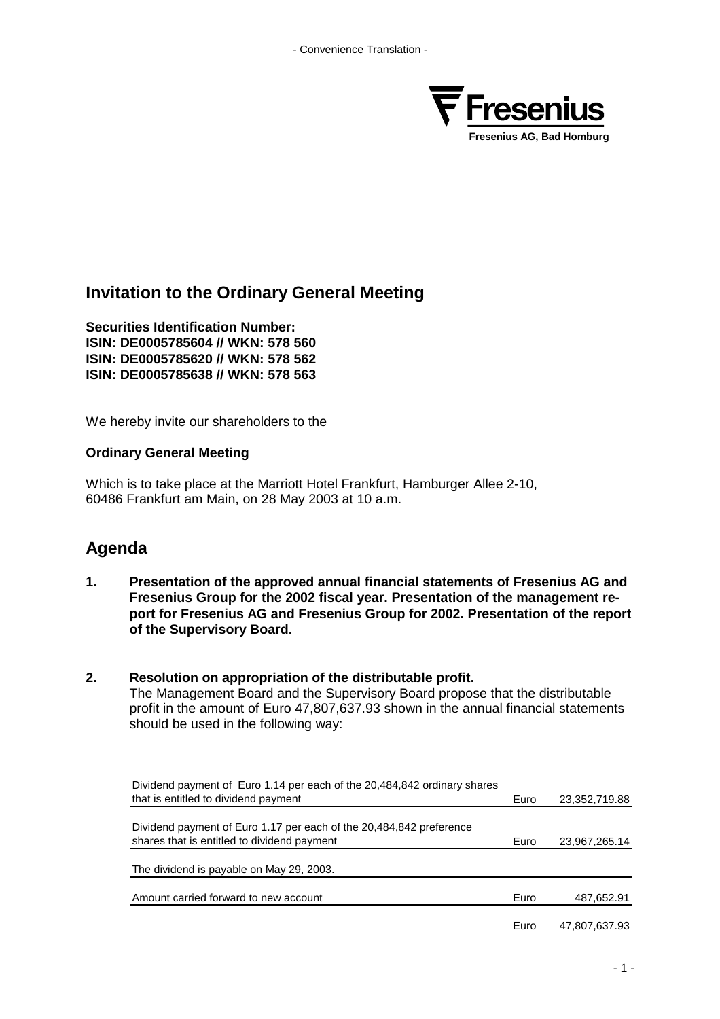

# **Invitation to the Ordinary General Meeting**

**Securities Identification Number: ISIN: DE0005785604 // WKN: 578 560 ISIN: DE0005785620 // WKN: 578 562 ISIN: DE0005785638 // WKN: 578 563**

We hereby invite our shareholders to the

## **Ordinary General Meeting**

Which is to take place at the Marriott Hotel Frankfurt, Hamburger Allee 2-10, 60486 Frankfurt am Main, on 28 May 2003 at 10 a.m.

## **Agenda**

- **1. Presentation of the approved annual financial statements of Fresenius AG and Fresenius Group for the 2002 fiscal year. Presentation of the management report for Fresenius AG and Fresenius Group for 2002. Presentation of the report of the Supervisory Board.**
- **2. Resolution on appropriation of the distributable profit.** The Management Board and the Supervisory Board propose that the distributable profit in the amount of Euro 47,807,637.93 shown in the annual financial statements should be used in the following way:

| Dividend payment of Euro 1.14 per each of the 20,484,842 ordinary shares |      |               |
|--------------------------------------------------------------------------|------|---------------|
| that is entitled to dividend payment                                     | Euro | 23,352,719.88 |
|                                                                          |      |               |
| Dividend payment of Euro 1.17 per each of the 20,484,842 preference      |      |               |
| shares that is entitled to dividend payment                              | Euro | 23,967,265.14 |
|                                                                          |      |               |
| The dividend is payable on May 29, 2003.                                 |      |               |
|                                                                          |      |               |
| Amount carried forward to new account                                    | Euro | 487,652.91    |
|                                                                          |      |               |
|                                                                          | Euro | 47,807,637.93 |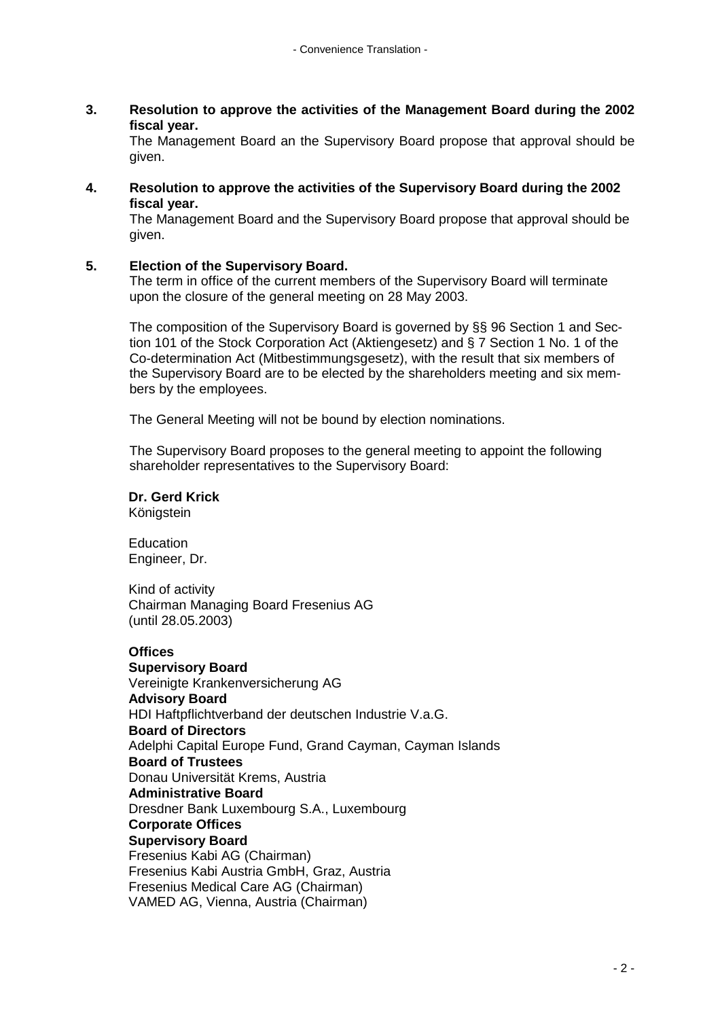**3. Resolution to approve the activities of the Management Board during the 2002 fiscal year.**

The Management Board an the Supervisory Board propose that approval should be given.

**4. Resolution to approve the activities of the Supervisory Board during the 2002 fiscal year.**

The Management Board and the Supervisory Board propose that approval should be given.

## **5. Election of the Supervisory Board.**

The term in office of the current members of the Supervisory Board will terminate upon the closure of the general meeting on 28 May 2003.

The composition of the Supervisory Board is governed by §§ 96 Section 1 and Section 101 of the Stock Corporation Act (Aktiengesetz) and § 7 Section 1 No. 1 of the Co-determination Act (Mitbestimmungsgesetz), with the result that six members of the Supervisory Board are to be elected by the shareholders meeting and six members by the employees.

The General Meeting will not be bound by election nominations.

The Supervisory Board proposes to the general meeting to appoint the following shareholder representatives to the Supervisory Board:

**Dr. Gerd Krick** Königstein

Education Engineer, Dr.

Kind of activity Chairman Managing Board Fresenius AG (until 28.05.2003)

#### **Offices**

**Supervisory Board** Vereinigte Krankenversicherung AG **Advisory Board** HDI Haftpflichtverband der deutschen Industrie V.a.G. **Board of Directors** Adelphi Capital Europe Fund, Grand Cayman, Cayman Islands **Board of Trustees** Donau Universität Krems, Austria **Administrative Board** Dresdner Bank Luxembourg S.A., Luxembourg **Corporate Offices Supervisory Board** Fresenius Kabi AG (Chairman) Fresenius Kabi Austria GmbH, Graz, Austria Fresenius Medical Care AG (Chairman) VAMED AG, Vienna, Austria (Chairman)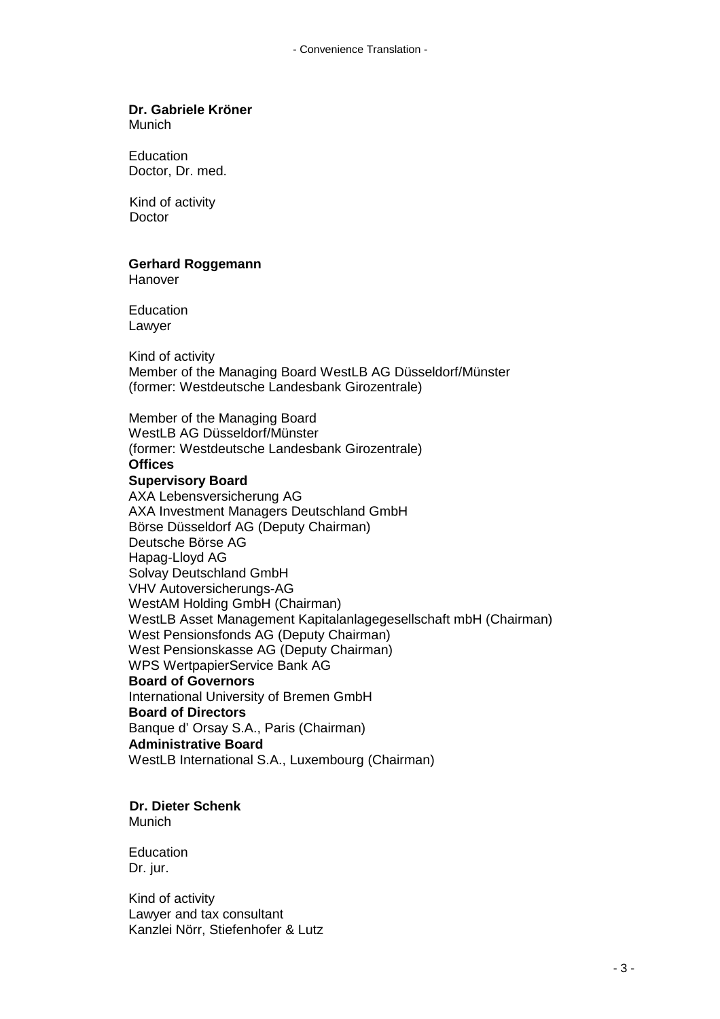# **Dr. Gabriele Kröner**

Munich

Education Doctor, Dr. med.

Kind of activity **Doctor** 

## **Gerhard Roggemann**

Hanover

**Education** Lawyer

Kind of activity Member of the Managing Board WestLB AG Düsseldorf/Münster (former: Westdeutsche Landesbank Girozentrale)

Member of the Managing Board WestLB AG Düsseldorf/Münster (former: Westdeutsche Landesbank Girozentrale) **Offices Supervisory Board** AXA Lebensversicherung AG AXA Investment Managers Deutschland GmbH Börse Düsseldorf AG (Deputy Chairman) Deutsche Börse AG Hapag-Lloyd AG Solvay Deutschland GmbH VHV Autoversicherungs-AG WestAM Holding GmbH (Chairman) WestLB Asset Management Kapitalanlagegesellschaft mbH (Chairman) West Pensionsfonds AG (Deputy Chairman) West Pensionskasse AG (Deputy Chairman) WPS WertpapierService Bank AG **Board of Governors** International University of Bremen GmbH **Board of Directors** Banque d' Orsay S.A., Paris (Chairman) **Administrative Board** WestLB International S.A., Luxembourg (Chairman)

**Dr. Dieter Schenk** Munich

**Education** Dr. jur.

Kind of activity Lawyer and tax consultant Kanzlei Nörr, Stiefenhofer & Lutz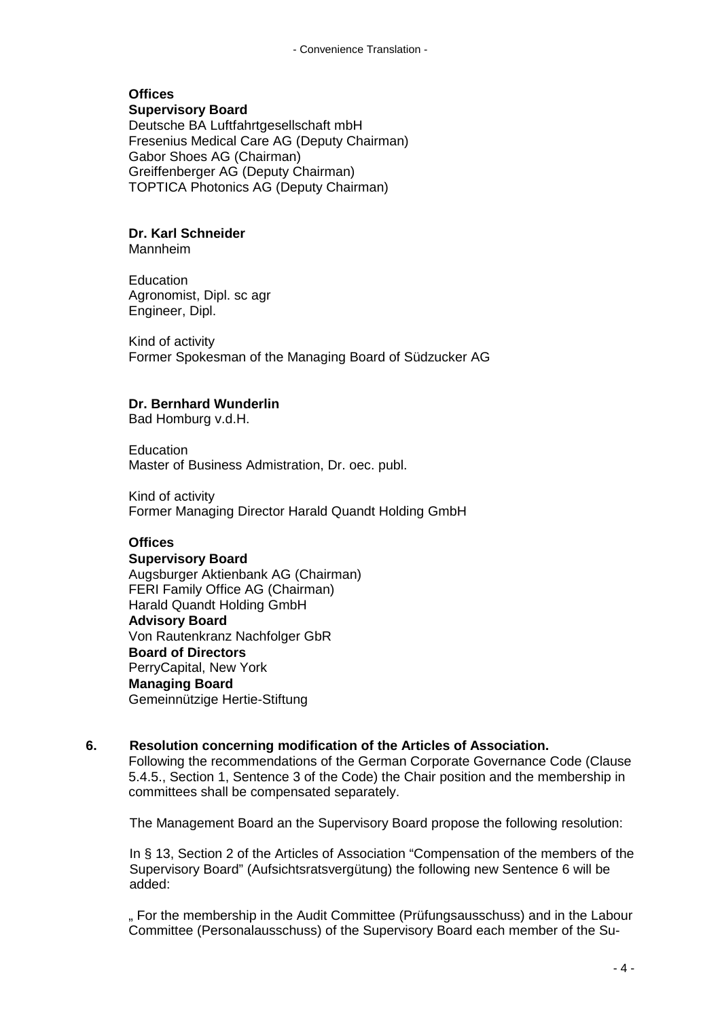# **Offices**

**Supervisory Board** Deutsche BA Luftfahrtgesellschaft mbH Fresenius Medical Care AG (Deputy Chairman) Gabor Shoes AG (Chairman) Greiffenberger AG (Deputy Chairman) TOPTICA Photonics AG (Deputy Chairman)

## **Dr. Karl Schneider**

Mannheim

Education Agronomist, Dipl. sc agr Engineer, Dipl.

Kind of activity Former Spokesman of the Managing Board of Südzucker AG

## **Dr. Bernhard Wunderlin**

Bad Homburg v.d.H.

**Education** Master of Business Admistration, Dr. oec. publ.

Kind of activity Former Managing Director Harald Quandt Holding GmbH

## **Offices**

### **Supervisory Board**

Augsburger Aktienbank AG (Chairman) FERI Family Office AG (Chairman) Harald Quandt Holding GmbH **Advisory Board** Von Rautenkranz Nachfolger GbR **Board of Directors** PerryCapital, New York **Managing Board** Gemeinnützige Hertie-Stiftung

## **6. Resolution concerning modification of the Articles of Association.**

Following the recommendations of the German Corporate Governance Code (Clause 5.4.5., Section 1, Sentence 3 of the Code) the Chair position and the membership in committees shall be compensated separately.

The Management Board an the Supervisory Board propose the following resolution:

In § 13, Section 2 of the Articles of Association "Compensation of the members of the Supervisory Board" (Aufsichtsratsvergütung) the following new Sentence 6 will be added:

" For the membership in the Audit Committee (Prüfungsausschuss) and in the Labour Committee (Personalausschuss) of the Supervisory Board each member of the Su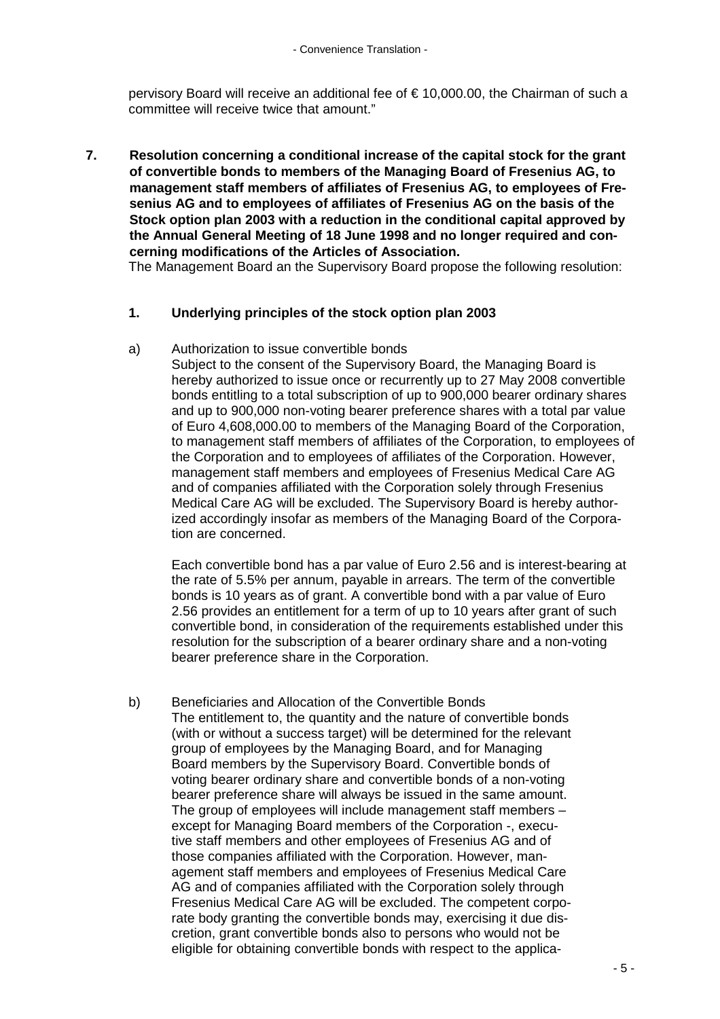pervisory Board will receive an additional fee of € 10,000.00, the Chairman of such a committee will receive twice that amount."

**7. Resolution concerning a conditional increase of the capital stock for the grant of convertible bonds to members of the Managing Board of Fresenius AG, to management staff members of affiliates of Fresenius AG, to employees of Fresenius AG and to employees of affiliates of Fresenius AG on the basis of the Stock option plan 2003 with a reduction in the conditional capital approved by the Annual General Meeting of 18 June 1998 and no longer required and concerning modifications of the Articles of Association.**

The Management Board an the Supervisory Board propose the following resolution:

## **1. Underlying principles of the stock option plan 2003**

#### a) Authorization to issue convertible bonds

Subject to the consent of the Supervisory Board, the Managing Board is hereby authorized to issue once or recurrently up to 27 May 2008 convertible bonds entitling to a total subscription of up to 900,000 bearer ordinary shares and up to 900,000 non-voting bearer preference shares with a total par value of Euro 4,608,000.00 to members of the Managing Board of the Corporation, to management staff members of affiliates of the Corporation, to employees of the Corporation and to employees of affiliates of the Corporation. However, management staff members and employees of Fresenius Medical Care AG and of companies affiliated with the Corporation solely through Fresenius Medical Care AG will be excluded. The Supervisory Board is hereby authorized accordingly insofar as members of the Managing Board of the Corporation are concerned.

Each convertible bond has a par value of Euro 2.56 and is interest-bearing at the rate of 5.5% per annum, payable in arrears. The term of the convertible bonds is 10 years as of grant. A convertible bond with a par value of Euro 2.56 provides an entitlement for a term of up to 10 years after grant of such convertible bond, in consideration of the requirements established under this resolution for the subscription of a bearer ordinary share and a non-voting bearer preference share in the Corporation.

b) Beneficiaries and Allocation of the Convertible Bonds The entitlement to, the quantity and the nature of convertible bonds (with or without a success target) will be determined for the relevant group of employees by the Managing Board, and for Managing Board members by the Supervisory Board. Convertible bonds of voting bearer ordinary share and convertible bonds of a non-voting bearer preference share will always be issued in the same amount. The group of employees will include management staff members – except for Managing Board members of the Corporation -, executive staff members and other employees of Fresenius AG and of those companies affiliated with the Corporation. However, management staff members and employees of Fresenius Medical Care AG and of companies affiliated with the Corporation solely through Fresenius Medical Care AG will be excluded. The competent corporate body granting the convertible bonds may, exercising it due discretion, grant convertible bonds also to persons who would not be eligible for obtaining convertible bonds with respect to the applica-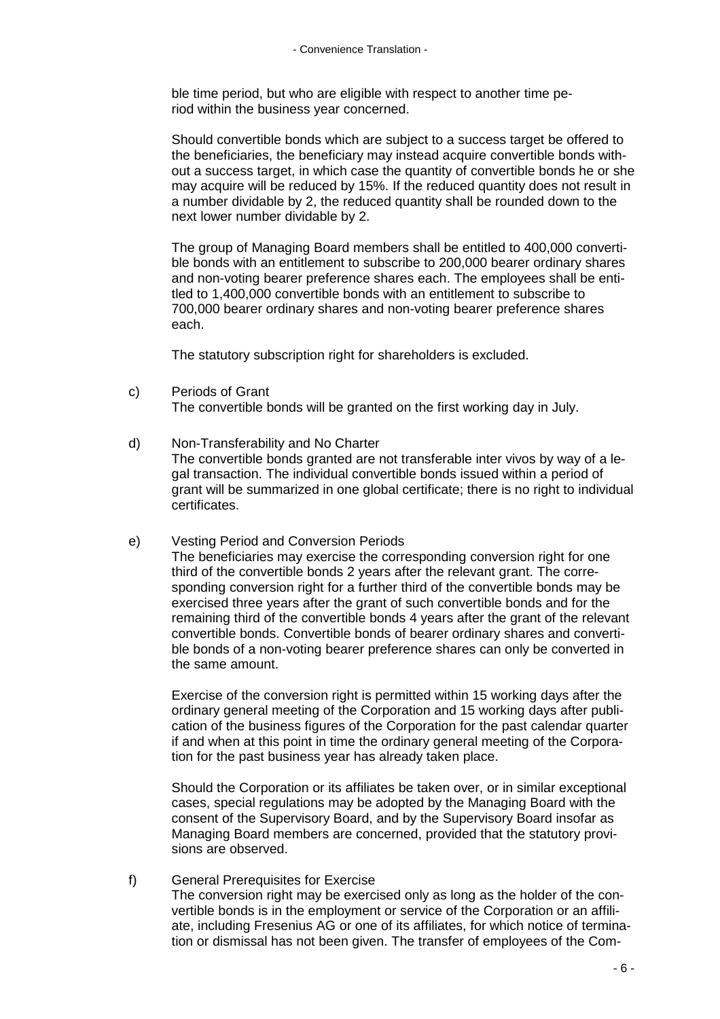ble time period, but who are eligible with respect to another time period within the business year concerned.

Should convertible bonds which are subject to a success target be offered to the beneficiaries, the beneficiary may instead acquire convertible bonds without a success target, in which case the quantity of convertible bonds he or she may acquire will be reduced by 15%. If the reduced quantity does not result in a number dividable by 2, the reduced quantity shall be rounded down to the next lower number dividable by 2.

The group of Managing Board members shall be entitled to 400,000 convertible bonds with an entitlement to subscribe to 200,000 bearer ordinary shares and non-voting bearer preference shares each. The employees shall be entitled to 1,400,000 convertible bonds with an entitlement to subscribe to 700,000 bearer ordinary shares and non-voting bearer preference shares each.

The statutory subscription right for shareholders is excluded.

c) Periods of Grant

The convertible bonds will be granted on the first working day in July.

- d) Non-Transferability and No Charter The convertible bonds granted are not transferable inter vivos by way of a legal transaction. The individual convertible bonds issued within a period of grant will be summarized in one global certificate; there is no right to individual certificates.
- e) Vesting Period and Conversion Periods The beneficiaries may exercise the corresponding conversion right for one third of the convertible bonds 2 years after the relevant grant. The corresponding conversion right for a further third of the convertible bonds may be exercised three years after the grant of such convertible bonds and for the remaining third of the convertible bonds 4 years after the grant of the relevant convertible bonds. Convertible bonds of bearer ordinary shares and convertible bonds of a non-voting bearer preference shares can only be converted in the same amount.

Exercise of the conversion right is permitted within 15 working days after the ordinary general meeting of the Corporation and 15 working days after publication of the business figures of the Corporation for the past calendar quarter if and when at this point in time the ordinary general meeting of the Corporation for the past business year has already taken place.

Should the Corporation or its affiliates be taken over, or in similar exceptional cases, special regulations may be adopted by the Managing Board with the consent of the Supervisory Board, and by the Supervisory Board insofar as Managing Board members are concerned, provided that the statutory provisions are observed.

f) General Prerequisites for Exercise The conversion right may be exercised only as long as the holder of the convertible bonds is in the employment or service of the Corporation or an affiliate, including Fresenius AG or one of its affiliates, for which notice of termination or dismissal has not been given. The transfer of employees of the Com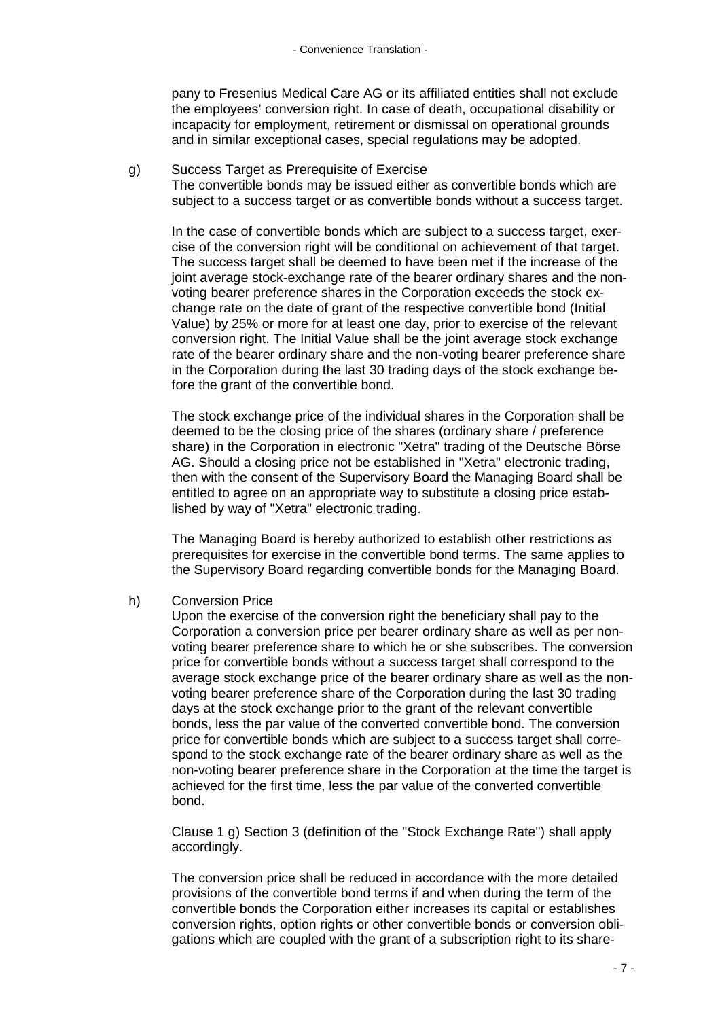pany to Fresenius Medical Care AG or its affiliated entities shall not exclude the employees' conversion right. In case of death, occupational disability or incapacity for employment, retirement or dismissal on operational grounds and in similar exceptional cases, special regulations may be adopted.

#### g) Success Target as Prerequisite of Exercise

The convertible bonds may be issued either as convertible bonds which are subject to a success target or as convertible bonds without a success target.

In the case of convertible bonds which are subject to a success target, exercise of the conversion right will be conditional on achievement of that target. The success target shall be deemed to have been met if the increase of the joint average stock-exchange rate of the bearer ordinary shares and the nonvoting bearer preference shares in the Corporation exceeds the stock exchange rate on the date of grant of the respective convertible bond (Initial Value) by 25% or more for at least one day, prior to exercise of the relevant conversion right. The Initial Value shall be the joint average stock exchange rate of the bearer ordinary share and the non-voting bearer preference share in the Corporation during the last 30 trading days of the stock exchange before the grant of the convertible bond.

The stock exchange price of the individual shares in the Corporation shall be deemed to be the closing price of the shares (ordinary share / preference share) in the Corporation in electronic "Xetra" trading of the Deutsche Börse AG. Should a closing price not be established in "Xetra" electronic trading, then with the consent of the Supervisory Board the Managing Board shall be entitled to agree on an appropriate way to substitute a closing price established by way of "Xetra" electronic trading.

The Managing Board is hereby authorized to establish other restrictions as prerequisites for exercise in the convertible bond terms. The same applies to the Supervisory Board regarding convertible bonds for the Managing Board.

## h) Conversion Price

Upon the exercise of the conversion right the beneficiary shall pay to the Corporation a conversion price per bearer ordinary share as well as per nonvoting bearer preference share to which he or she subscribes. The conversion price for convertible bonds without a success target shall correspond to the average stock exchange price of the bearer ordinary share as well as the nonvoting bearer preference share of the Corporation during the last 30 trading days at the stock exchange prior to the grant of the relevant convertible bonds, less the par value of the converted convertible bond. The conversion price for convertible bonds which are subject to a success target shall correspond to the stock exchange rate of the bearer ordinary share as well as the non-voting bearer preference share in the Corporation at the time the target is achieved for the first time, less the par value of the converted convertible bond.

Clause 1 g) Section 3 (definition of the "Stock Exchange Rate") shall apply accordingly.

The conversion price shall be reduced in accordance with the more detailed provisions of the convertible bond terms if and when during the term of the convertible bonds the Corporation either increases its capital or establishes conversion rights, option rights or other convertible bonds or conversion obligations which are coupled with the grant of a subscription right to its share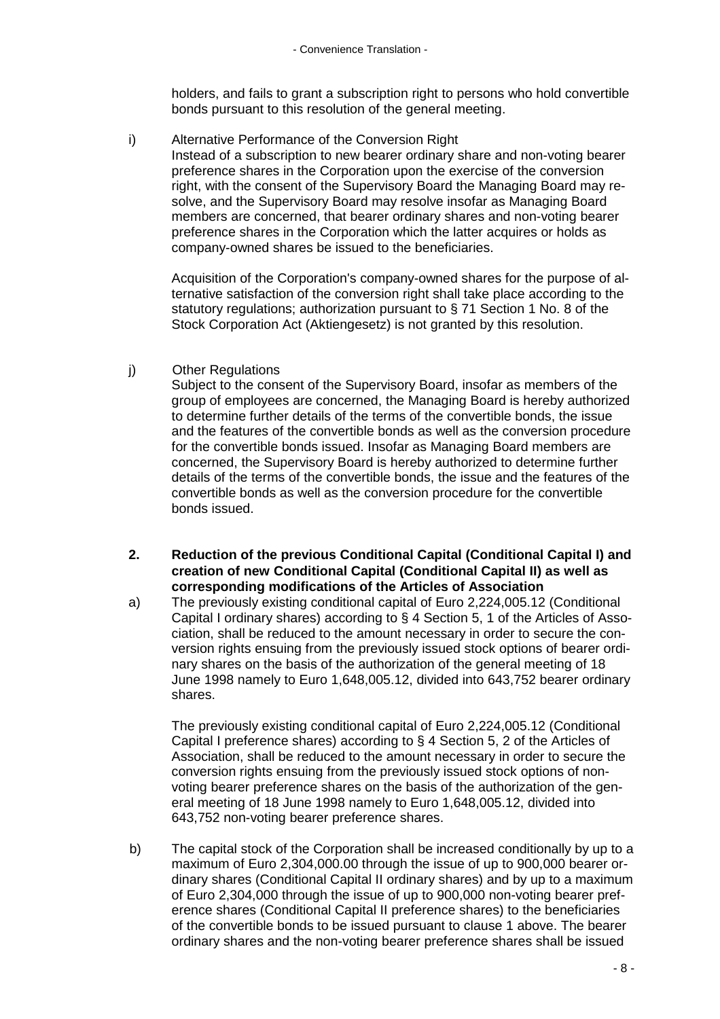holders, and fails to grant a subscription right to persons who hold convertible bonds pursuant to this resolution of the general meeting.

i) Alternative Performance of the Conversion Right Instead of a subscription to new bearer ordinary share and non-voting bearer preference shares in the Corporation upon the exercise of the conversion right, with the consent of the Supervisory Board the Managing Board may resolve, and the Supervisory Board may resolve insofar as Managing Board members are concerned, that bearer ordinary shares and non-voting bearer preference shares in the Corporation which the latter acquires or holds as company-owned shares be issued to the beneficiaries.

Acquisition of the Corporation's company-owned shares for the purpose of alternative satisfaction of the conversion right shall take place according to the statutory regulations; authorization pursuant to § 71 Section 1 No. 8 of the Stock Corporation Act (Aktiengesetz) is not granted by this resolution.

## j) Other Regulations

Subject to the consent of the Supervisory Board, insofar as members of the group of employees are concerned, the Managing Board is hereby authorized to determine further details of the terms of the convertible bonds, the issue and the features of the convertible bonds as well as the conversion procedure for the convertible bonds issued. Insofar as Managing Board members are concerned, the Supervisory Board is hereby authorized to determine further details of the terms of the convertible bonds, the issue and the features of the convertible bonds as well as the conversion procedure for the convertible bonds issued.

- **2. Reduction of the previous Conditional Capital (Conditional Capital I) and creation of new Conditional Capital (Conditional Capital II) as well as corresponding modifications of the Articles of Association**
- a) The previously existing conditional capital of Euro 2,224,005.12 (Conditional Capital I ordinary shares) according to § 4 Section 5, 1 of the Articles of Association, shall be reduced to the amount necessary in order to secure the conversion rights ensuing from the previously issued stock options of bearer ordinary shares on the basis of the authorization of the general meeting of 18 June 1998 namely to Euro 1,648,005.12, divided into 643,752 bearer ordinary shares.

The previously existing conditional capital of Euro 2,224,005.12 (Conditional Capital I preference shares) according to § 4 Section 5, 2 of the Articles of Association, shall be reduced to the amount necessary in order to secure the conversion rights ensuing from the previously issued stock options of nonvoting bearer preference shares on the basis of the authorization of the general meeting of 18 June 1998 namely to Euro 1,648,005.12, divided into 643,752 non-voting bearer preference shares.

b) The capital stock of the Corporation shall be increased conditionally by up to a maximum of Euro 2,304,000.00 through the issue of up to 900,000 bearer ordinary shares (Conditional Capital II ordinary shares) and by up to a maximum of Euro 2,304,000 through the issue of up to 900,000 non-voting bearer preference shares (Conditional Capital II preference shares) to the beneficiaries of the convertible bonds to be issued pursuant to clause 1 above. The bearer ordinary shares and the non-voting bearer preference shares shall be issued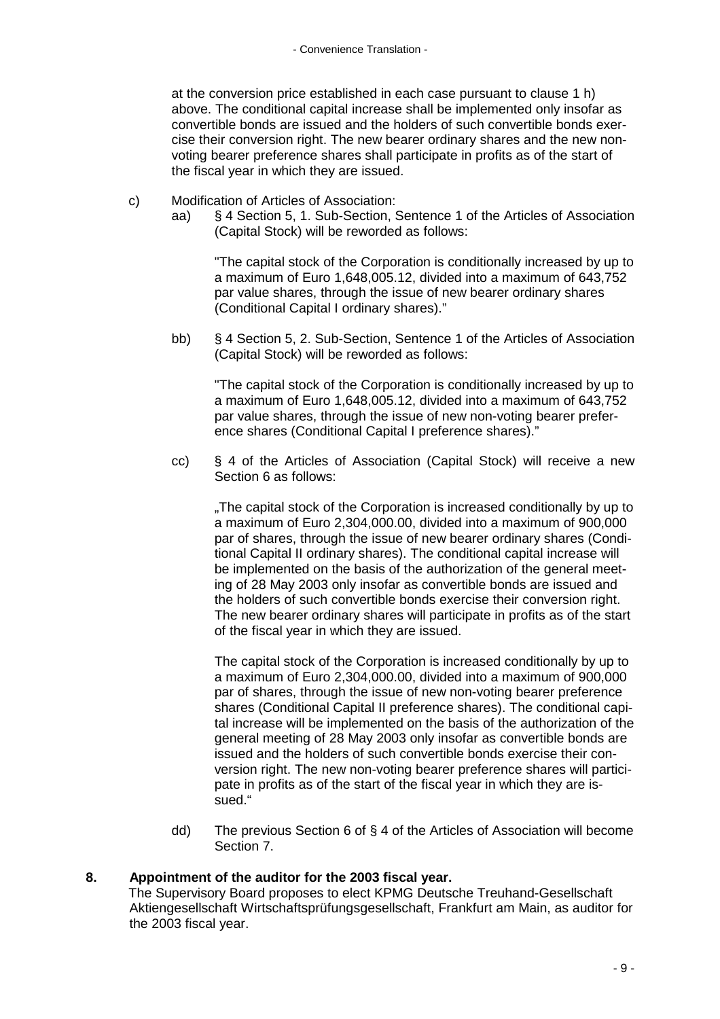at the conversion price established in each case pursuant to clause 1 h) above. The conditional capital increase shall be implemented only insofar as convertible bonds are issued and the holders of such convertible bonds exercise their conversion right. The new bearer ordinary shares and the new nonvoting bearer preference shares shall participate in profits as of the start of the fiscal year in which they are issued.

- c) Modification of Articles of Association:
	- aa) § 4 Section 5, 1. Sub-Section, Sentence 1 of the Articles of Association (Capital Stock) will be reworded as follows:

"The capital stock of the Corporation is conditionally increased by up to a maximum of Euro 1,648,005.12, divided into a maximum of 643,752 par value shares, through the issue of new bearer ordinary shares (Conditional Capital I ordinary shares)."

bb) § 4 Section 5, 2. Sub-Section, Sentence 1 of the Articles of Association (Capital Stock) will be reworded as follows:

"The capital stock of the Corporation is conditionally increased by up to a maximum of Euro 1,648,005.12, divided into a maximum of 643,752 par value shares, through the issue of new non-voting bearer preference shares (Conditional Capital I preference shares)."

cc) § 4 of the Articles of Association (Capital Stock) will receive a new Section 6 as follows:

..The capital stock of the Corporation is increased conditionally by up to a maximum of Euro 2,304,000.00, divided into a maximum of 900,000 par of shares, through the issue of new bearer ordinary shares (Conditional Capital II ordinary shares). The conditional capital increase will be implemented on the basis of the authorization of the general meeting of 28 May 2003 only insofar as convertible bonds are issued and the holders of such convertible bonds exercise their conversion right. The new bearer ordinary shares will participate in profits as of the start of the fiscal year in which they are issued.

The capital stock of the Corporation is increased conditionally by up to a maximum of Euro 2,304,000.00, divided into a maximum of 900,000 par of shares, through the issue of new non-voting bearer preference shares (Conditional Capital II preference shares). The conditional capital increase will be implemented on the basis of the authorization of the general meeting of 28 May 2003 only insofar as convertible bonds are issued and the holders of such convertible bonds exercise their conversion right. The new non-voting bearer preference shares will participate in profits as of the start of the fiscal year in which they are issued."

dd) The previous Section 6 of § 4 of the Articles of Association will become Section 7.

## **8. Appointment of the auditor for the 2003 fiscal year.**

The Supervisory Board proposes to elect KPMG Deutsche Treuhand-Gesellschaft Aktiengesellschaft Wirtschaftsprüfungsgesellschaft, Frankfurt am Main, as auditor for the 2003 fiscal year.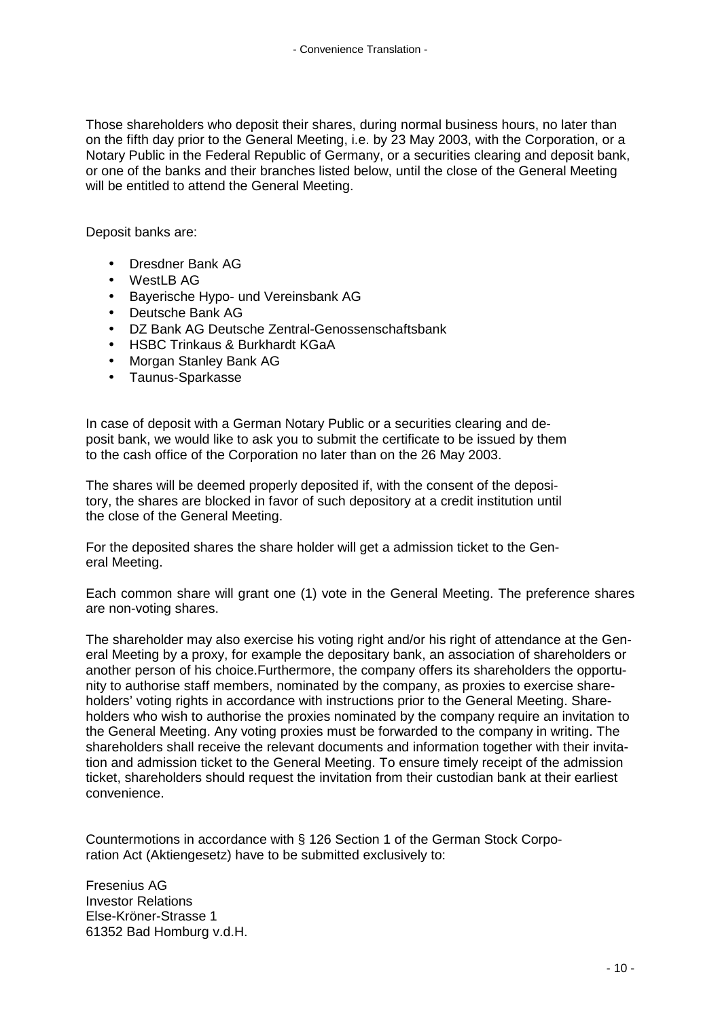Those shareholders who deposit their shares, during normal business hours, no later than on the fifth day prior to the General Meeting, i.e. by 23 May 2003, with the Corporation, or a Notary Public in the Federal Republic of Germany, or a securities clearing and deposit bank, or one of the banks and their branches listed below, until the close of the General Meeting will be entitled to attend the General Meeting.

Deposit banks are:

- Dresdner Bank AG
- WestLB AG
- Bayerische Hypo- und Vereinsbank AG
- Deutsche Bank AG
- DZ Bank AG Deutsche Zentral-Genossenschaftsbank
- HSBC Trinkaus & Burkhardt KGaA
- Morgan Stanley Bank AG
- Taunus-Sparkasse

In case of deposit with a German Notary Public or a securities clearing and deposit bank, we would like to ask you to submit the certificate to be issued by them to the cash office of the Corporation no later than on the 26 May 2003.

The shares will be deemed properly deposited if, with the consent of the depository, the shares are blocked in favor of such depository at a credit institution until the close of the General Meeting.

For the deposited shares the share holder will get a admission ticket to the General Meeting.

Each common share will grant one (1) vote in the General Meeting. The preference shares are non-voting shares.

The shareholder may also exercise his voting right and/or his right of attendance at the General Meeting by a proxy, for example the depositary bank, an association of shareholders or another person of his choice.Furthermore, the company offers its shareholders the opportunity to authorise staff members, nominated by the company, as proxies to exercise shareholders' voting rights in accordance with instructions prior to the General Meeting. Shareholders who wish to authorise the proxies nominated by the company require an invitation to the General Meeting. Any voting proxies must be forwarded to the company in writing. The shareholders shall receive the relevant documents and information together with their invitation and admission ticket to the General Meeting. To ensure timely receipt of the admission ticket, shareholders should request the invitation from their custodian bank at their earliest convenience.

Countermotions in accordance with § 126 Section 1 of the German Stock Corporation Act (Aktiengesetz) have to be submitted exclusively to:

Fresenius AG Investor Relations Else-Kröner-Strasse 1 61352 Bad Homburg v.d.H.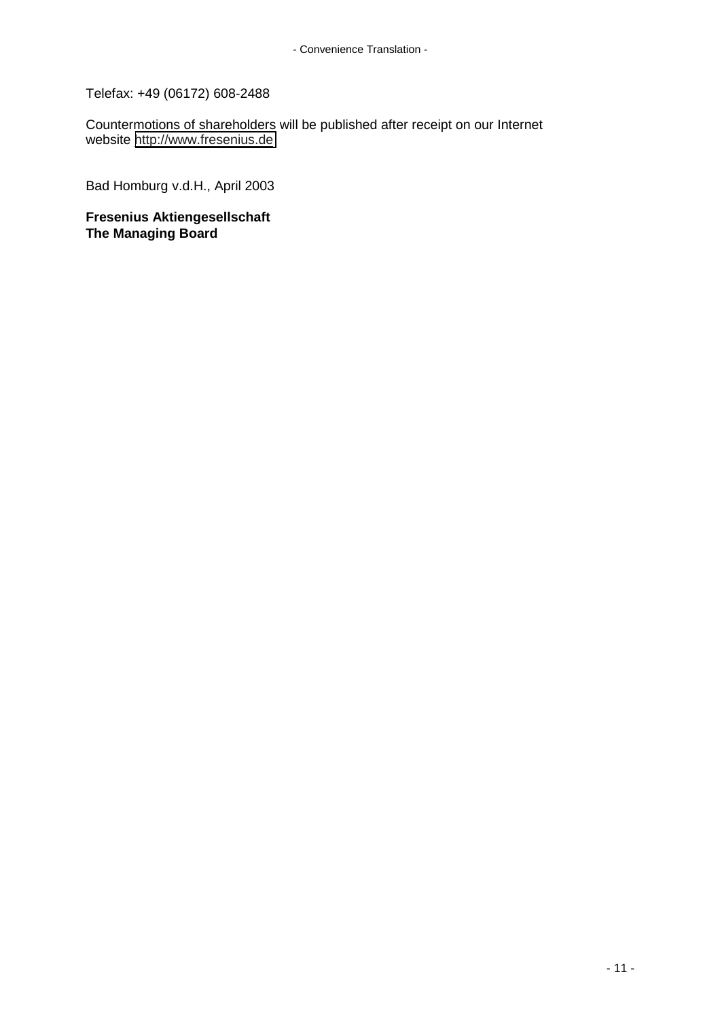Telefax: +49 (06172) 608-2488

Countermotions of shareholders will be published after receipt on our Internet website [http://www.fresenius.de](http://www.fresenius.de/)

Bad Homburg v.d.H., April 2003

**Fresenius Aktiengesellschaft The Managing Board**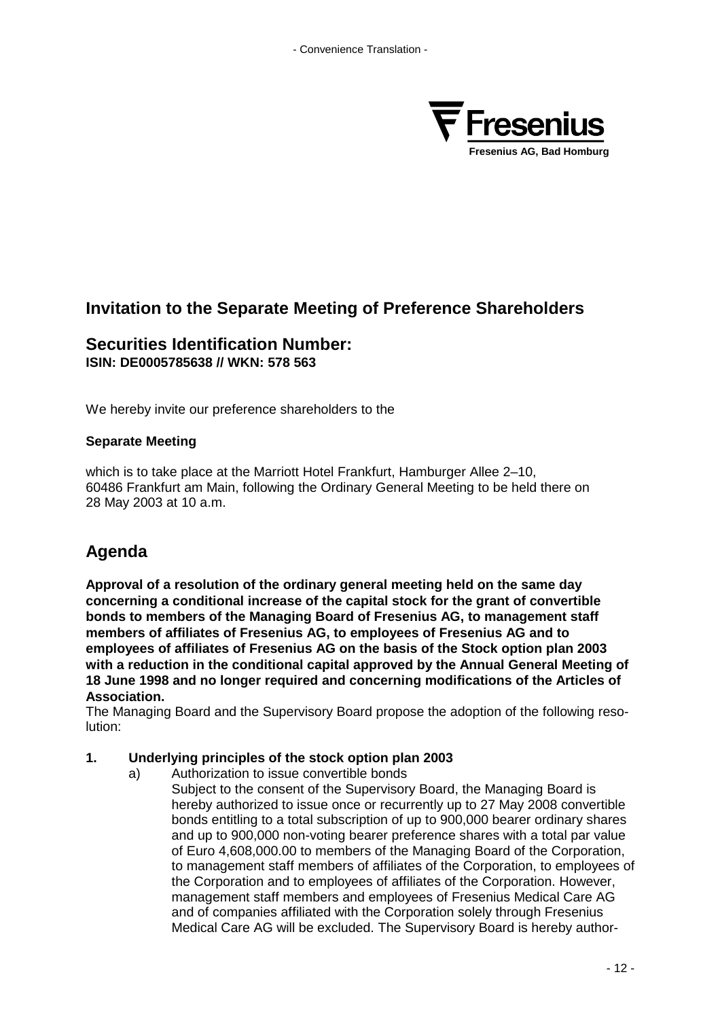

## **Invitation to the Separate Meeting of Preference Shareholders**

## **Securities Identification Number: ISIN: DE0005785638 // WKN: 578 563**

We hereby invite our preference shareholders to the

## **Separate Meeting**

which is to take place at the Marriott Hotel Frankfurt, Hamburger Allee 2–10, 60486 Frankfurt am Main, following the Ordinary General Meeting to be held there on 28 May 2003 at 10 a.m.

# **Agenda**

**Approval of a resolution of the ordinary general meeting held on the same day concerning a conditional increase of the capital stock for the grant of convertible bonds to members of the Managing Board of Fresenius AG, to management staff members of affiliates of Fresenius AG, to employees of Fresenius AG and to employees of affiliates of Fresenius AG on the basis of the Stock option plan 2003 with a reduction in the conditional capital approved by the Annual General Meeting of 18 June 1998 and no longer required and concerning modifications of the Articles of Association.**

The Managing Board and the Supervisory Board propose the adoption of the following resolution:

## **1. Underlying principles of the stock option plan 2003**

- a) Authorization to issue convertible bonds
	- Subject to the consent of the Supervisory Board, the Managing Board is hereby authorized to issue once or recurrently up to 27 May 2008 convertible bonds entitling to a total subscription of up to 900,000 bearer ordinary shares and up to 900,000 non-voting bearer preference shares with a total par value of Euro 4,608,000.00 to members of the Managing Board of the Corporation, to management staff members of affiliates of the Corporation, to employees of the Corporation and to employees of affiliates of the Corporation. However, management staff members and employees of Fresenius Medical Care AG and of companies affiliated with the Corporation solely through Fresenius Medical Care AG will be excluded. The Supervisory Board is hereby author-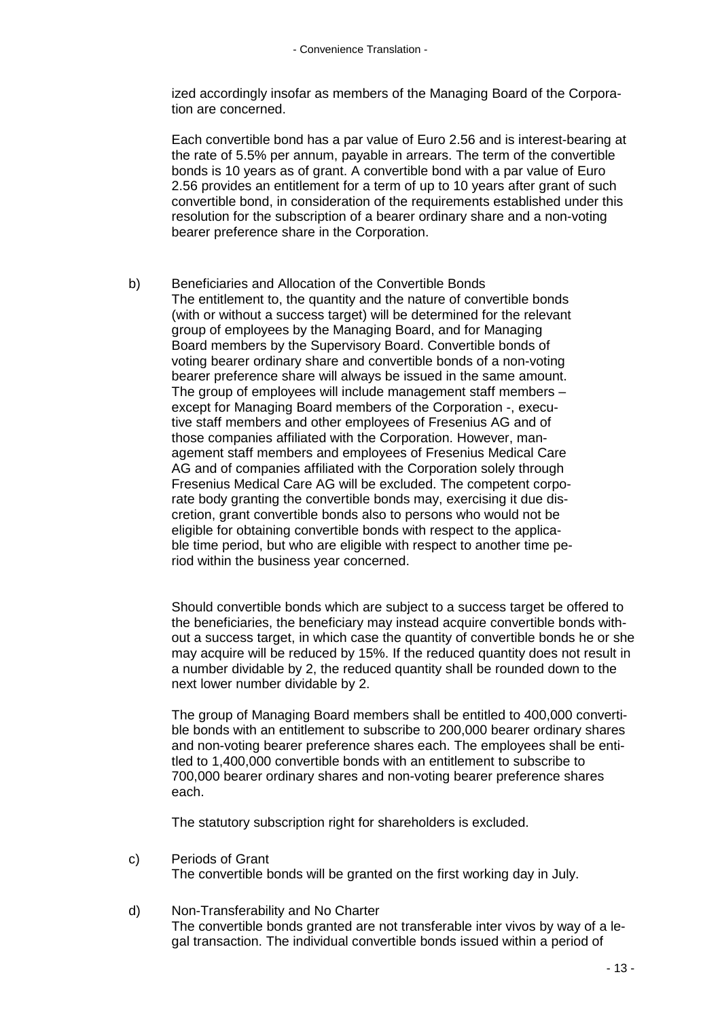ized accordingly insofar as members of the Managing Board of the Corporation are concerned.

Each convertible bond has a par value of Euro 2.56 and is interest-bearing at the rate of 5.5% per annum, payable in arrears. The term of the convertible bonds is 10 years as of grant. A convertible bond with a par value of Euro 2.56 provides an entitlement for a term of up to 10 years after grant of such convertible bond, in consideration of the requirements established under this resolution for the subscription of a bearer ordinary share and a non-voting bearer preference share in the Corporation.

b) Beneficiaries and Allocation of the Convertible Bonds The entitlement to, the quantity and the nature of convertible bonds (with or without a success target) will be determined for the relevant group of employees by the Managing Board, and for Managing Board members by the Supervisory Board. Convertible bonds of voting bearer ordinary share and convertible bonds of a non-voting bearer preference share will always be issued in the same amount. The group of employees will include management staff members – except for Managing Board members of the Corporation -, executive staff members and other employees of Fresenius AG and of those companies affiliated with the Corporation. However, management staff members and employees of Fresenius Medical Care AG and of companies affiliated with the Corporation solely through Fresenius Medical Care AG will be excluded. The competent corporate body granting the convertible bonds may, exercising it due discretion, grant convertible bonds also to persons who would not be eligible for obtaining convertible bonds with respect to the applicable time period, but who are eligible with respect to another time period within the business year concerned.

Should convertible bonds which are subject to a success target be offered to the beneficiaries, the beneficiary may instead acquire convertible bonds without a success target, in which case the quantity of convertible bonds he or she may acquire will be reduced by 15%. If the reduced quantity does not result in a number dividable by 2, the reduced quantity shall be rounded down to the next lower number dividable by 2.

The group of Managing Board members shall be entitled to 400,000 convertible bonds with an entitlement to subscribe to 200,000 bearer ordinary shares and non-voting bearer preference shares each. The employees shall be entitled to 1,400,000 convertible bonds with an entitlement to subscribe to 700,000 bearer ordinary shares and non-voting bearer preference shares each.

The statutory subscription right for shareholders is excluded.

c) Periods of Grant

The convertible bonds will be granted on the first working day in July.

d) Non-Transferability and No Charter The convertible bonds granted are not transferable inter vivos by way of a legal transaction. The individual convertible bonds issued within a period of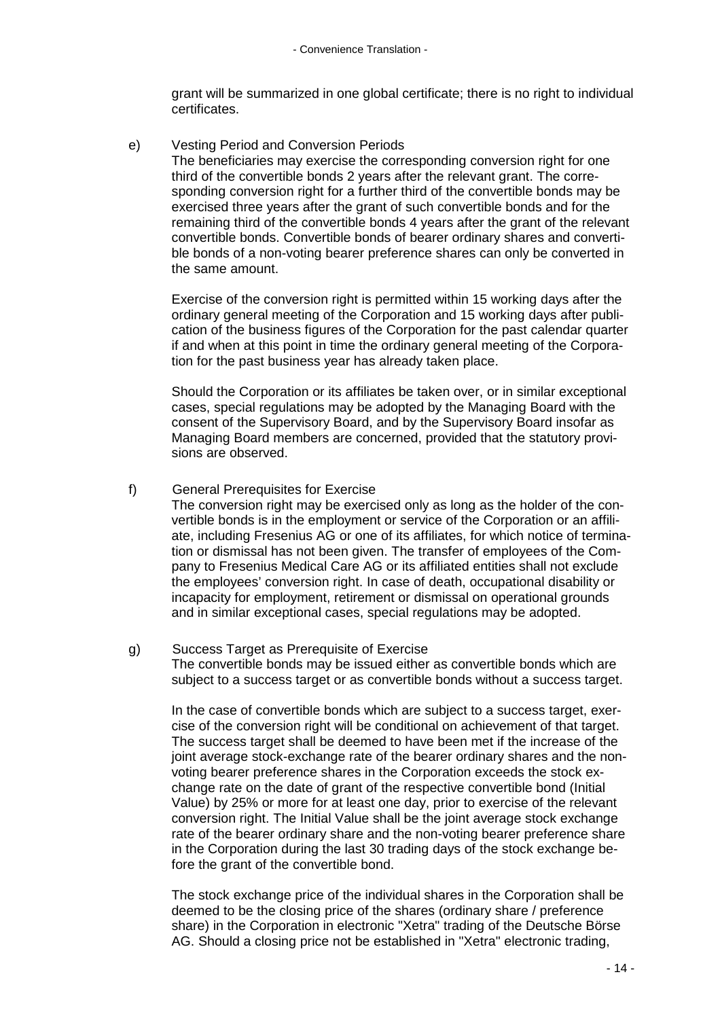grant will be summarized in one global certificate; there is no right to individual certificates.

e) Vesting Period and Conversion Periods

The beneficiaries may exercise the corresponding conversion right for one third of the convertible bonds 2 years after the relevant grant. The corresponding conversion right for a further third of the convertible bonds may be exercised three years after the grant of such convertible bonds and for the remaining third of the convertible bonds 4 years after the grant of the relevant convertible bonds. Convertible bonds of bearer ordinary shares and convertible bonds of a non-voting bearer preference shares can only be converted in the same amount.

Exercise of the conversion right is permitted within 15 working days after the ordinary general meeting of the Corporation and 15 working days after publication of the business figures of the Corporation for the past calendar quarter if and when at this point in time the ordinary general meeting of the Corporation for the past business year has already taken place.

Should the Corporation or its affiliates be taken over, or in similar exceptional cases, special regulations may be adopted by the Managing Board with the consent of the Supervisory Board, and by the Supervisory Board insofar as Managing Board members are concerned, provided that the statutory provisions are observed.

## f) General Prerequisites for Exercise

The conversion right may be exercised only as long as the holder of the convertible bonds is in the employment or service of the Corporation or an affiliate, including Fresenius AG or one of its affiliates, for which notice of termination or dismissal has not been given. The transfer of employees of the Company to Fresenius Medical Care AG or its affiliated entities shall not exclude the employees' conversion right. In case of death, occupational disability or incapacity for employment, retirement or dismissal on operational grounds and in similar exceptional cases, special regulations may be adopted.

#### g) Success Target as Prerequisite of Exercise The convertible bonds may be issued either as convertible bonds which are subject to a success target or as convertible bonds without a success target.

In the case of convertible bonds which are subject to a success target, exercise of the conversion right will be conditional on achievement of that target. The success target shall be deemed to have been met if the increase of the joint average stock-exchange rate of the bearer ordinary shares and the nonvoting bearer preference shares in the Corporation exceeds the stock exchange rate on the date of grant of the respective convertible bond (Initial Value) by 25% or more for at least one day, prior to exercise of the relevant conversion right. The Initial Value shall be the joint average stock exchange rate of the bearer ordinary share and the non-voting bearer preference share in the Corporation during the last 30 trading days of the stock exchange before the grant of the convertible bond.

The stock exchange price of the individual shares in the Corporation shall be deemed to be the closing price of the shares (ordinary share / preference share) in the Corporation in electronic "Xetra" trading of the Deutsche Börse AG. Should a closing price not be established in "Xetra" electronic trading,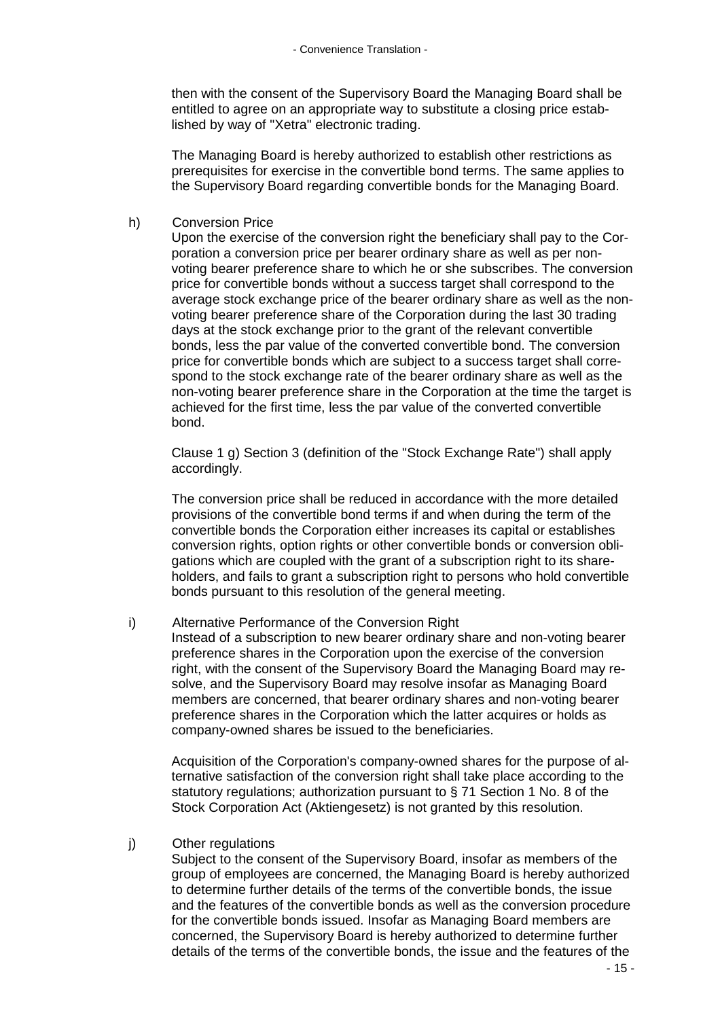then with the consent of the Supervisory Board the Managing Board shall be entitled to agree on an appropriate way to substitute a closing price established by way of "Xetra" electronic trading.

The Managing Board is hereby authorized to establish other restrictions as prerequisites for exercise in the convertible bond terms. The same applies to the Supervisory Board regarding convertible bonds for the Managing Board.

### h) Conversion Price

Upon the exercise of the conversion right the beneficiary shall pay to the Corporation a conversion price per bearer ordinary share as well as per nonvoting bearer preference share to which he or she subscribes. The conversion price for convertible bonds without a success target shall correspond to the average stock exchange price of the bearer ordinary share as well as the nonvoting bearer preference share of the Corporation during the last 30 trading days at the stock exchange prior to the grant of the relevant convertible bonds, less the par value of the converted convertible bond. The conversion price for convertible bonds which are subject to a success target shall correspond to the stock exchange rate of the bearer ordinary share as well as the non-voting bearer preference share in the Corporation at the time the target is achieved for the first time, less the par value of the converted convertible bond.

Clause 1 g) Section 3 (definition of the "Stock Exchange Rate") shall apply accordingly.

The conversion price shall be reduced in accordance with the more detailed provisions of the convertible bond terms if and when during the term of the convertible bonds the Corporation either increases its capital or establishes conversion rights, option rights or other convertible bonds or conversion obligations which are coupled with the grant of a subscription right to its shareholders, and fails to grant a subscription right to persons who hold convertible bonds pursuant to this resolution of the general meeting.

i) Alternative Performance of the Conversion Right Instead of a subscription to new bearer ordinary share and non-voting bearer preference shares in the Corporation upon the exercise of the conversion right, with the consent of the Supervisory Board the Managing Board may resolve, and the Supervisory Board may resolve insofar as Managing Board members are concerned, that bearer ordinary shares and non-voting bearer preference shares in the Corporation which the latter acquires or holds as company-owned shares be issued to the beneficiaries.

Acquisition of the Corporation's company-owned shares for the purpose of alternative satisfaction of the conversion right shall take place according to the statutory regulations; authorization pursuant to § 71 Section 1 No. 8 of the Stock Corporation Act (Aktiengesetz) is not granted by this resolution.

#### j) Other regulations

Subject to the consent of the Supervisory Board, insofar as members of the group of employees are concerned, the Managing Board is hereby authorized to determine further details of the terms of the convertible bonds, the issue and the features of the convertible bonds as well as the conversion procedure for the convertible bonds issued. Insofar as Managing Board members are concerned, the Supervisory Board is hereby authorized to determine further details of the terms of the convertible bonds, the issue and the features of the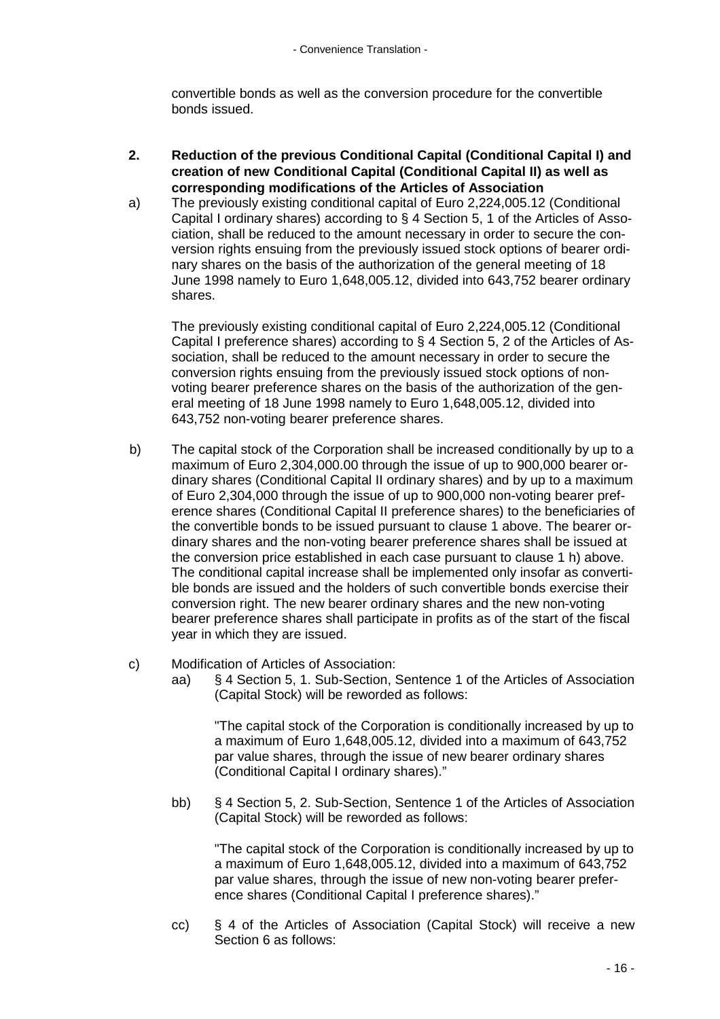convertible bonds as well as the conversion procedure for the convertible bonds issued.

- **2. Reduction of the previous Conditional Capital (Conditional Capital I) and creation of new Conditional Capital (Conditional Capital II) as well as corresponding modifications of the Articles of Association**
- a) The previously existing conditional capital of Euro 2,224,005.12 (Conditional Capital I ordinary shares) according to § 4 Section 5, 1 of the Articles of Association, shall be reduced to the amount necessary in order to secure the conversion rights ensuing from the previously issued stock options of bearer ordinary shares on the basis of the authorization of the general meeting of 18 June 1998 namely to Euro 1,648,005.12, divided into 643,752 bearer ordinary shares.

The previously existing conditional capital of Euro 2,224,005.12 (Conditional Capital I preference shares) according to § 4 Section 5, 2 of the Articles of Association, shall be reduced to the amount necessary in order to secure the conversion rights ensuing from the previously issued stock options of nonvoting bearer preference shares on the basis of the authorization of the general meeting of 18 June 1998 namely to Euro 1,648,005.12, divided into 643,752 non-voting bearer preference shares.

- b) The capital stock of the Corporation shall be increased conditionally by up to a maximum of Euro 2,304,000.00 through the issue of up to 900,000 bearer ordinary shares (Conditional Capital II ordinary shares) and by up to a maximum of Euro 2,304,000 through the issue of up to 900,000 non-voting bearer preference shares (Conditional Capital II preference shares) to the beneficiaries of the convertible bonds to be issued pursuant to clause 1 above. The bearer ordinary shares and the non-voting bearer preference shares shall be issued at the conversion price established in each case pursuant to clause 1 h) above. The conditional capital increase shall be implemented only insofar as convertible bonds are issued and the holders of such convertible bonds exercise their conversion right. The new bearer ordinary shares and the new non-voting bearer preference shares shall participate in profits as of the start of the fiscal year in which they are issued.
- c) Modification of Articles of Association:
	- aa) § 4 Section 5, 1. Sub-Section, Sentence 1 of the Articles of Association (Capital Stock) will be reworded as follows:

"The capital stock of the Corporation is conditionally increased by up to a maximum of Euro 1,648,005.12, divided into a maximum of 643,752 par value shares, through the issue of new bearer ordinary shares (Conditional Capital I ordinary shares)."

bb) § 4 Section 5, 2. Sub-Section, Sentence 1 of the Articles of Association (Capital Stock) will be reworded as follows:

"The capital stock of the Corporation is conditionally increased by up to a maximum of Euro 1,648,005.12, divided into a maximum of 643,752 par value shares, through the issue of new non-voting bearer preference shares (Conditional Capital I preference shares)."

cc) § 4 of the Articles of Association (Capital Stock) will receive a new Section 6 as follows: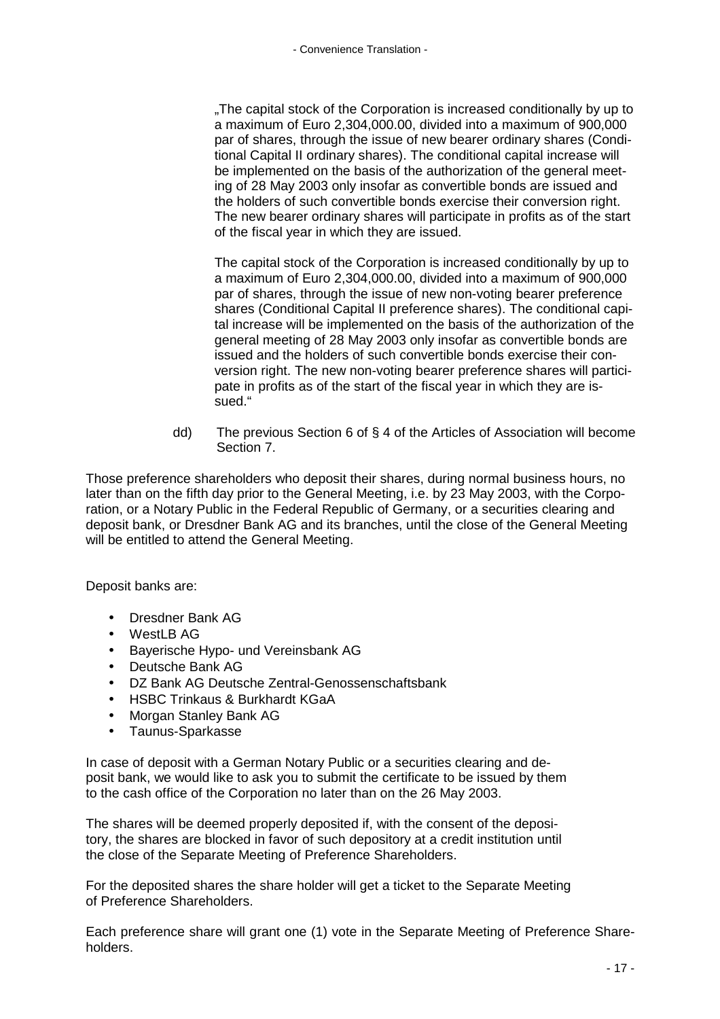"The capital stock of the Corporation is increased conditionally by up to a maximum of Euro 2,304,000.00, divided into a maximum of 900,000 par of shares, through the issue of new bearer ordinary shares (Conditional Capital II ordinary shares). The conditional capital increase will be implemented on the basis of the authorization of the general meeting of 28 May 2003 only insofar as convertible bonds are issued and the holders of such convertible bonds exercise their conversion right. The new bearer ordinary shares will participate in profits as of the start of the fiscal year in which they are issued.

The capital stock of the Corporation is increased conditionally by up to a maximum of Euro 2,304,000.00, divided into a maximum of 900,000 par of shares, through the issue of new non-voting bearer preference shares (Conditional Capital II preference shares). The conditional capital increase will be implemented on the basis of the authorization of the general meeting of 28 May 2003 only insofar as convertible bonds are issued and the holders of such convertible bonds exercise their conversion right. The new non-voting bearer preference shares will participate in profits as of the start of the fiscal year in which they are issued."

dd) The previous Section 6 of § 4 of the Articles of Association will become Section 7.

Those preference shareholders who deposit their shares, during normal business hours, no later than on the fifth day prior to the General Meeting, i.e. by 23 May 2003, with the Corporation, or a Notary Public in the Federal Republic of Germany, or a securities clearing and deposit bank, or Dresdner Bank AG and its branches, until the close of the General Meeting will be entitled to attend the General Meeting.

Deposit banks are:

- Dresdner Bank AG
- WestLB AG
- Bayerische Hypo- und Vereinsbank AG
- Deutsche Bank AG
- DZ Bank AG Deutsche Zentral-Genossenschaftsbank
- HSBC Trinkaus & Burkhardt KGaA
- Morgan Stanley Bank AG
- Taunus-Sparkasse

In case of deposit with a German Notary Public or a securities clearing and deposit bank, we would like to ask you to submit the certificate to be issued by them to the cash office of the Corporation no later than on the 26 May 2003.

The shares will be deemed properly deposited if, with the consent of the depository, the shares are blocked in favor of such depository at a credit institution until the close of the Separate Meeting of Preference Shareholders.

For the deposited shares the share holder will get a ticket to the Separate Meeting of Preference Shareholders.

Each preference share will grant one (1) vote in the Separate Meeting of Preference Shareholders.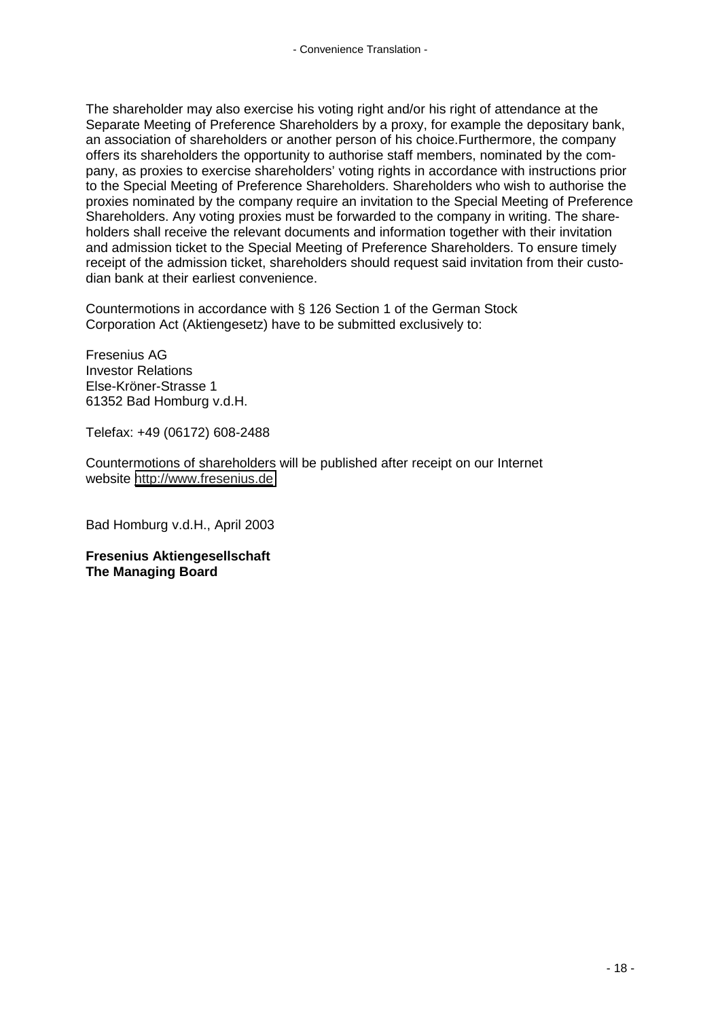The shareholder may also exercise his voting right and/or his right of attendance at the Separate Meeting of Preference Shareholders by a proxy, for example the depositary bank, an association of shareholders or another person of his choice.Furthermore, the company offers its shareholders the opportunity to authorise staff members, nominated by the company, as proxies to exercise shareholders' voting rights in accordance with instructions prior to the Special Meeting of Preference Shareholders. Shareholders who wish to authorise the proxies nominated by the company require an invitation to the Special Meeting of Preference Shareholders. Any voting proxies must be forwarded to the company in writing. The shareholders shall receive the relevant documents and information together with their invitation and admission ticket to the Special Meeting of Preference Shareholders. To ensure timely receipt of the admission ticket, shareholders should request said invitation from their custodian bank at their earliest convenience.

Countermotions in accordance with § 126 Section 1 of the German Stock Corporation Act (Aktiengesetz) have to be submitted exclusively to:

Fresenius AG Investor Relations Else-Kröner-Strasse 1 61352 Bad Homburg v.d.H.

Telefax: +49 (06172) 608-2488

Countermotions of shareholders will be published after receipt on our Internet website [http://www.fresenius.de](http://www.fresenius.de/)

Bad Homburg v.d.H., April 2003

**Fresenius Aktiengesellschaft The Managing Board**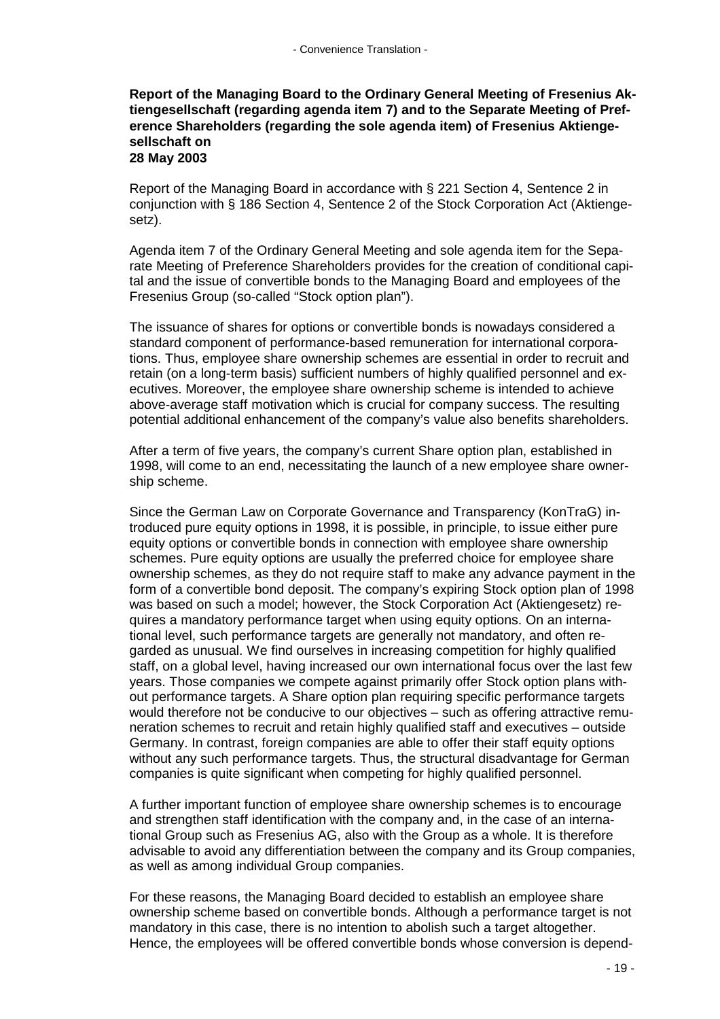### **Report of the Managing Board to the Ordinary General Meeting of Fresenius Aktiengesellschaft (regarding agenda item 7) and to the Separate Meeting of Preference Shareholders (regarding the sole agenda item) of Fresenius Aktiengesellschaft on 28 May 2003**

Report of the Managing Board in accordance with § 221 Section 4, Sentence 2 in conjunction with § 186 Section 4, Sentence 2 of the Stock Corporation Act (Aktiengesetz).

Agenda item 7 of the Ordinary General Meeting and sole agenda item for the Separate Meeting of Preference Shareholders provides for the creation of conditional capital and the issue of convertible bonds to the Managing Board and employees of the Fresenius Group (so-called "Stock option plan").

The issuance of shares for options or convertible bonds is nowadays considered a standard component of performance-based remuneration for international corporations. Thus, employee share ownership schemes are essential in order to recruit and retain (on a long-term basis) sufficient numbers of highly qualified personnel and executives. Moreover, the employee share ownership scheme is intended to achieve above-average staff motivation which is crucial for company success. The resulting potential additional enhancement of the company's value also benefits shareholders.

After a term of five years, the company's current Share option plan, established in 1998, will come to an end, necessitating the launch of a new employee share ownership scheme.

Since the German Law on Corporate Governance and Transparency (KonTraG) introduced pure equity options in 1998, it is possible, in principle, to issue either pure equity options or convertible bonds in connection with employee share ownership schemes. Pure equity options are usually the preferred choice for employee share ownership schemes, as they do not require staff to make any advance payment in the form of a convertible bond deposit. The company's expiring Stock option plan of 1998 was based on such a model; however, the Stock Corporation Act (Aktiengesetz) requires a mandatory performance target when using equity options. On an international level, such performance targets are generally not mandatory, and often regarded as unusual. We find ourselves in increasing competition for highly qualified staff, on a global level, having increased our own international focus over the last few years. Those companies we compete against primarily offer Stock option plans without performance targets. A Share option plan requiring specific performance targets would therefore not be conducive to our objectives – such as offering attractive remuneration schemes to recruit and retain highly qualified staff and executives – outside Germany. In contrast, foreign companies are able to offer their staff equity options without any such performance targets. Thus, the structural disadvantage for German companies is quite significant when competing for highly qualified personnel.

A further important function of employee share ownership schemes is to encourage and strengthen staff identification with the company and, in the case of an international Group such as Fresenius AG, also with the Group as a whole. It is therefore advisable to avoid any differentiation between the company and its Group companies, as well as among individual Group companies.

For these reasons, the Managing Board decided to establish an employee share ownership scheme based on convertible bonds. Although a performance target is not mandatory in this case, there is no intention to abolish such a target altogether. Hence, the employees will be offered convertible bonds whose conversion is depend-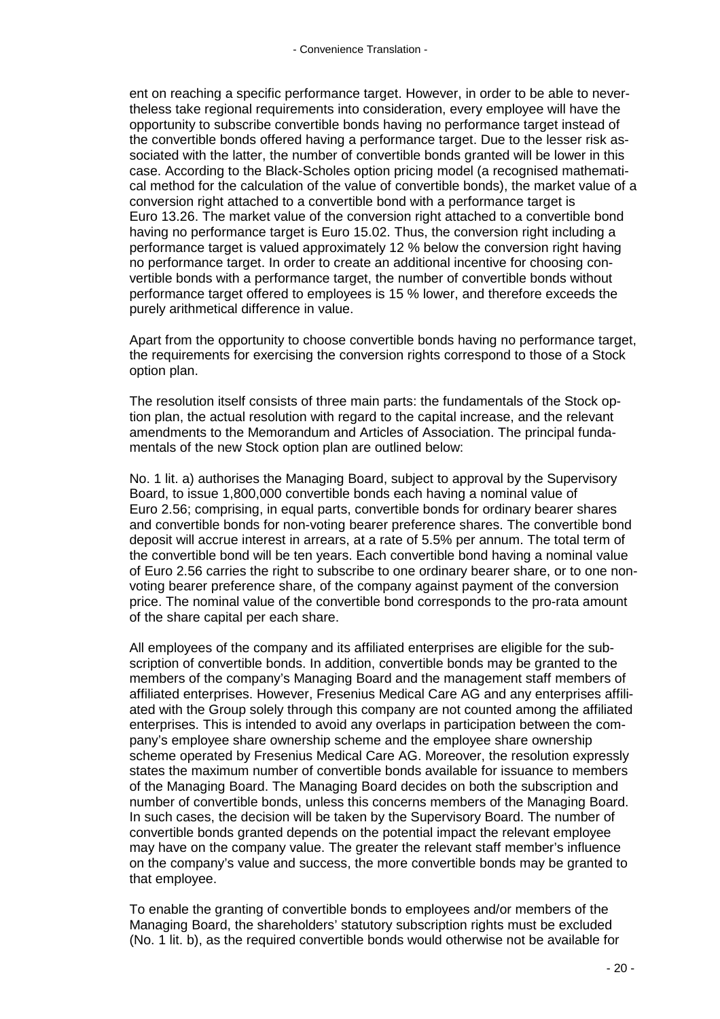ent on reaching a specific performance target. However, in order to be able to nevertheless take regional requirements into consideration, every employee will have the opportunity to subscribe convertible bonds having no performance target instead of the convertible bonds offered having a performance target. Due to the lesser risk associated with the latter, the number of convertible bonds granted will be lower in this case. According to the Black-Scholes option pricing model (a recognised mathematical method for the calculation of the value of convertible bonds), the market value of a conversion right attached to a convertible bond with a performance target is Euro 13.26. The market value of the conversion right attached to a convertible bond having no performance target is Euro 15.02. Thus, the conversion right including a performance target is valued approximately 12 % below the conversion right having no performance target. In order to create an additional incentive for choosing convertible bonds with a performance target, the number of convertible bonds without performance target offered to employees is 15 % lower, and therefore exceeds the purely arithmetical difference in value.

Apart from the opportunity to choose convertible bonds having no performance target, the requirements for exercising the conversion rights correspond to those of a Stock option plan.

The resolution itself consists of three main parts: the fundamentals of the Stock option plan, the actual resolution with regard to the capital increase, and the relevant amendments to the Memorandum and Articles of Association. The principal fundamentals of the new Stock option plan are outlined below:

No. 1 lit. a) authorises the Managing Board, subject to approval by the Supervisory Board, to issue 1,800,000 convertible bonds each having a nominal value of Euro 2.56; comprising, in equal parts, convertible bonds for ordinary bearer shares and convertible bonds for non-voting bearer preference shares. The convertible bond deposit will accrue interest in arrears, at a rate of 5.5% per annum. The total term of the convertible bond will be ten years. Each convertible bond having a nominal value of Euro 2.56 carries the right to subscribe to one ordinary bearer share, or to one nonvoting bearer preference share, of the company against payment of the conversion price. The nominal value of the convertible bond corresponds to the pro-rata amount of the share capital per each share.

All employees of the company and its affiliated enterprises are eligible for the subscription of convertible bonds. In addition, convertible bonds may be granted to the members of the company's Managing Board and the management staff members of affiliated enterprises. However, Fresenius Medical Care AG and any enterprises affiliated with the Group solely through this company are not counted among the affiliated enterprises. This is intended to avoid any overlaps in participation between the company's employee share ownership scheme and the employee share ownership scheme operated by Fresenius Medical Care AG. Moreover, the resolution expressly states the maximum number of convertible bonds available for issuance to members of the Managing Board. The Managing Board decides on both the subscription and number of convertible bonds, unless this concerns members of the Managing Board. In such cases, the decision will be taken by the Supervisory Board. The number of convertible bonds granted depends on the potential impact the relevant employee may have on the company value. The greater the relevant staff member's influence on the company's value and success, the more convertible bonds may be granted to that employee.

To enable the granting of convertible bonds to employees and/or members of the Managing Board, the shareholders' statutory subscription rights must be excluded (No. 1 lit. b), as the required convertible bonds would otherwise not be available for